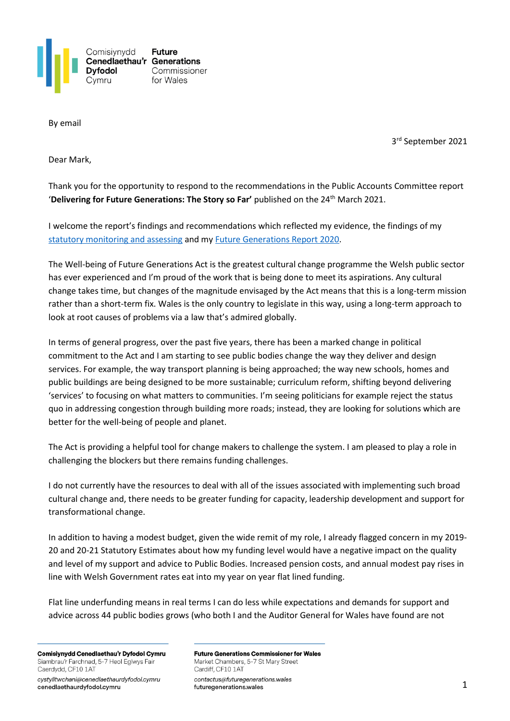

By email

3 rd September 2021

Dear Mark,

Thank you for the opportunity to respond to the recommendations in the Public Accounts Committee report 'Delivering for Future Generations: The Story so Far' published on the 24<sup>th</sup> March 2021.

I welcome the report's findings and recommendations which reflected my evidence, the findings of my [statutory monitoring and assessing](https://www.futuregenerations.wales/work/monitoring-and-assessing/) and my [Future Generations Report](https://futuregenerations2020.wales/english) 2020.

The Well-being of Future Generations Act is the greatest cultural change programme the Welsh public sector has ever experienced and I'm proud of the work that is being done to meet its aspirations. Any cultural change takes time, but changes of the magnitude envisaged by the Act means that this is a long-term mission rather than a short-term fix. Wales is the only country to legislate in this way, using a long-term approach to look at root causes of problems via a law that's admired globally.

In terms of general progress, over the past five years, there has been a marked change in political commitment to the Act and I am starting to see public bodies change the way they deliver and design services. For example, the way transport planning is being approached; the way new schools, homes and public buildings are being designed to be more sustainable; curriculum reform, shifting beyond delivering 'services' to focusing on what matters to communities. I'm seeing politicians for example reject the status quo in addressing congestion through building more roads; instead, they are looking for solutions which are better for the well-being of people and planet.

The Act is providing a helpful tool for change makers to challenge the system. I am pleased to play a role in challenging the blockers but there remains funding challenges.

I do not currently have the resources to deal with all of the issues associated with implementing such broad cultural change and, there needs to be greater funding for capacity, leadership development and support for transformational change.

In addition to having a modest budget, given the wide remit of my role, I already flagged concern in my 2019- 20 and 20-21 Statutory Estimates about how my funding level would have a negative impact on the quality and level of my support and advice to Public Bodies. Increased pension costs, and annual modest pay rises in line with Welsh Government rates eat into my year on year flat lined funding.

Flat line underfunding means in real terms I can do less while expectations and demands for support and advice across 44 public bodies grows (who both I and the Auditor General for Wales have found are not

Comisiynydd Cenedlaethau'r Dyfodol Cymru Siambrau'r Farchnad, 5-7 Heol Eglwys Fair Caerdydd, CF10 1AT

cystylltwchani@cenedlaethaurdyfodol.cymru cenedlaethaurdyfodol.cymru

**Future Generations Commissioner for Wales** Market Chambers, 5-7 St Mary Street Cardiff, CF10 1AT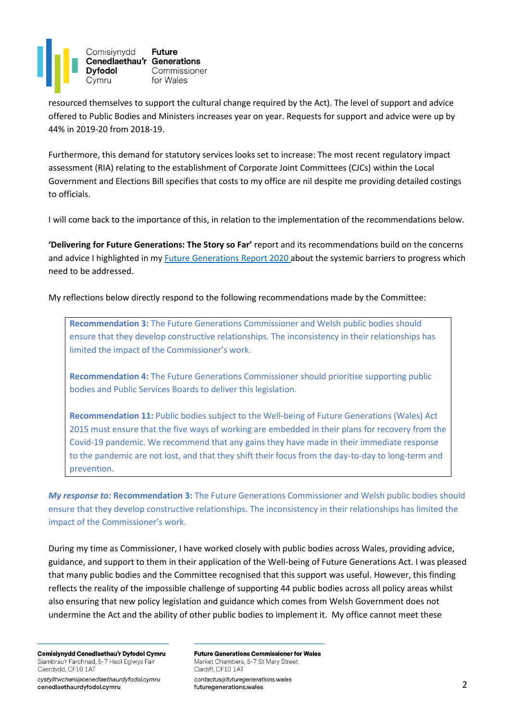

resourced themselves to support the cultural change required by the Act). The level of support and advice offered to Public Bodies and Ministers increases year on year. Requests for support and advice were up by 44% in 2019-20 from 2018-19.

Furthermore, this demand for statutory services looks set to increase: The most recent regulatory impact assessment (RIA) relating to the establishment of Corporate Joint Committees (CJCs) within the Local Government and Elections Bill specifies that costs to my office are nil despite me providing detailed costings to officials.

I will come back to the importance of this, in relation to the implementation of the recommendations below.

**'Delivering for Future Generations: The Story so Far'** report and its recommendations build on the concerns and advice I highlighted in my [Future Generations Report 2020 a](http://www.futuregenerations2020.wales/)bout the systemic barriers to progress which need to be addressed.

My reflections below directly respond to the following recommendations made by the Committee:

**Recommendation 3:** The Future Generations Commissioner and Welsh public bodies should ensure that they develop constructive relationships. The inconsistency in their relationships has limited the impact of the Commissioner's work.

**Recommendation 4:** The Future Generations Commissioner should prioritise supporting public bodies and Public Services Boards to deliver this legislation.

**Recommendation 11:** Public bodies subject to the Well-being of Future Generations (Wales) Act 2015 must ensure that the five ways of working are embedded in their plans for recovery from the Covid-19 pandemic. We recommend that any gains they have made in their immediate response to the pandemic are not lost, and that they shift their focus from the day-to-day to long-term and prevention.

*My response to:* **Recommendation 3:** The Future Generations Commissioner and Welsh public bodies should ensure that they develop constructive relationships. The inconsistency in their relationships has limited the impact of the Commissioner's work.

During my time as Commissioner, I have worked closely with public bodies across Wales, providing advice, guidance, and support to them in their application of the Well-being of Future Generations Act. I was pleased that many public bodies and the Committee recognised that this support was useful. However, this finding reflects the reality of the impossible challenge of supporting 44 public bodies across all policy areas whilst also ensuring that new policy legislation and guidance which comes from Welsh Government does not undermine the Act and the ability of other public bodies to implement it. My office cannot meet these

Comisiynydd Cenedlaethau'r Dyfodol Cymru Siambrau'r Farchnad, 5-7 Heol Eglwys Fair Caerdydd, CF10 1AT

cystylltwchani@cenedlaethaurdyfodol.cymru cenedlaethaurdyfodol.cymru

**Future Generations Commissioner for Wales** Market Chambers, 5-7 St Mary Street Cardiff, CF10 1AT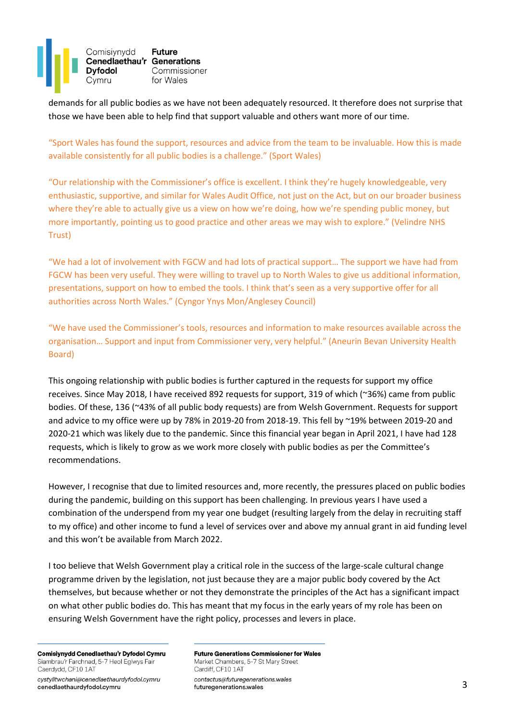

demands for all public bodies as we have not been adequately resourced. It therefore does not surprise that those we have been able to help find that support valuable and others want more of our time.

"Sport Wales has found the support, resources and advice from the team to be invaluable. How this is made available consistently for all public bodies is a challenge." (Sport Wales)

"Our relationship with the Commissioner's office is excellent. I think they're hugely knowledgeable, very enthusiastic, supportive, and similar for Wales Audit Office, not just on the Act, but on our broader business where they're able to actually give us a view on how we're doing, how we're spending public money, but more importantly, pointing us to good practice and other areas we may wish to explore." (Velindre NHS Trust)

"We had a lot of involvement with FGCW and had lots of practical support… The support we have had from FGCW has been very useful. They were willing to travel up to North Wales to give us additional information, presentations, support on how to embed the tools. I think that's seen as a very supportive offer for all authorities across North Wales." (Cyngor Ynys Mon/Anglesey Council)

"We have used the Commissioner's tools, resources and information to make resources available across the organisation… Support and input from Commissioner very, very helpful." (Aneurin Bevan University Health Board)

This ongoing relationship with public bodies is further captured in the requests for support my office receives. Since May 2018, I have received 892 requests for support, 319 of which (~36%) came from public bodies. Of these, 136 (~43% of all public body requests) are from Welsh Government. Requests for support and advice to my office were up by 78% in 2019-20 from 2018-19. This fell by ~19% between 2019-20 and 2020-21 which was likely due to the pandemic. Since this financial year began in April 2021, I have had 128 requests, which is likely to grow as we work more closely with public bodies as per the Committee's recommendations.

However, I recognise that due to limited resources and, more recently, the pressures placed on public bodies during the pandemic, building on this support has been challenging. In previous years I have used a combination of the underspend from my year one budget (resulting largely from the delay in recruiting staff to my office) and other income to fund a level of services over and above my annual grant in aid funding level and this won't be available from March 2022.

I too believe that Welsh Government play a critical role in the success of the large-scale cultural change programme driven by the legislation, not just because they are a major public body covered by the Act themselves, but because whether or not they demonstrate the principles of the Act has a significant impact on what other public bodies do. This has meant that my focus in the early years of my role has been on ensuring Welsh Government have the right policy, processes and levers in place.

Comisiynydd Cenedlaethau'r Dyfodol Cymru Siambrau'r Farchnad, 5-7 Heol Eglwys Fair Caerdydd, CF10 1AT

cystylltwchani@cenedlaethaurdyfodol.cymru cenedlaethaurdyfodol.cymru

**Future Generations Commissioner for Wales** Market Chambers, 5-7 St Mary Street Cardiff, CF10 1AT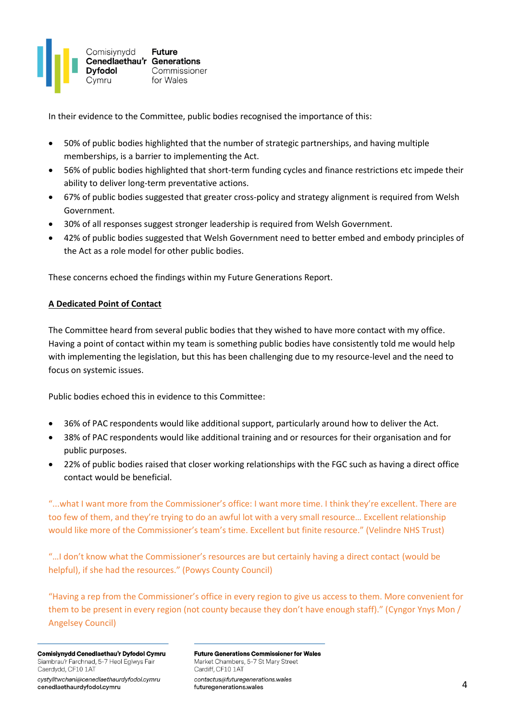

In their evidence to the Committee, public bodies recognised the importance of this:

- 50% of public bodies highlighted that the number of strategic partnerships, and having multiple memberships, is a barrier to implementing the Act.
- 56% of public bodies highlighted that short-term funding cycles and finance restrictions etc impede their ability to deliver long-term preventative actions.
- 67% of public bodies suggested that greater cross-policy and strategy alignment is required from Welsh Government.
- 30% of all responses suggest stronger leadership is required from Welsh Government.
- 42% of public bodies suggested that Welsh Government need to better embed and embody principles of the Act as a role model for other public bodies.

These concerns echoed the findings within my Future Generations Report.

## **A Dedicated Point of Contact**

The Committee heard from several public bodies that they wished to have more contact with my office. Having a point of contact within my team is something public bodies have consistently told me would help with implementing the legislation, but this has been challenging due to my resource-level and the need to focus on systemic issues.

Public bodies echoed this in evidence to this Committee:

- 36% of PAC respondents would like additional support, particularly around how to deliver the Act.
- 38% of PAC respondents would like additional training and or resources for their organisation and for public purposes.
- 22% of public bodies raised that closer working relationships with the FGC such as having a direct office contact would be beneficial.

"...what I want more from the Commissioner's office: I want more time. I think they're excellent. There are too few of them, and they're trying to do an awful lot with a very small resource… Excellent relationship would like more of the Commissioner's team's time. Excellent but finite resource." (Velindre NHS Trust)

"…I don't know what the Commissioner's resources are but certainly having a direct contact (would be helpful), if she had the resources." (Powys County Council)

"Having a rep from the Commissioner's office in every region to give us access to them. More convenient for them to be present in every region (not county because they don't have enough staff)." (Cyngor Ynys Mon / Angelsey Council)

Comisiynydd Cenedlaethau'r Dyfodol Cymru Siambrau'r Farchnad, 5-7 Heol Eglwys Fair Caerdydd, CF10 1AT

cystylltwchani@cenedlaethaurdyfodol.cymru cenedlaethaurdyfodol.cymru

**Future Generations Commissioner for Wales** Market Chambers, 5-7 St Mary Street Cardiff, CF10 1AT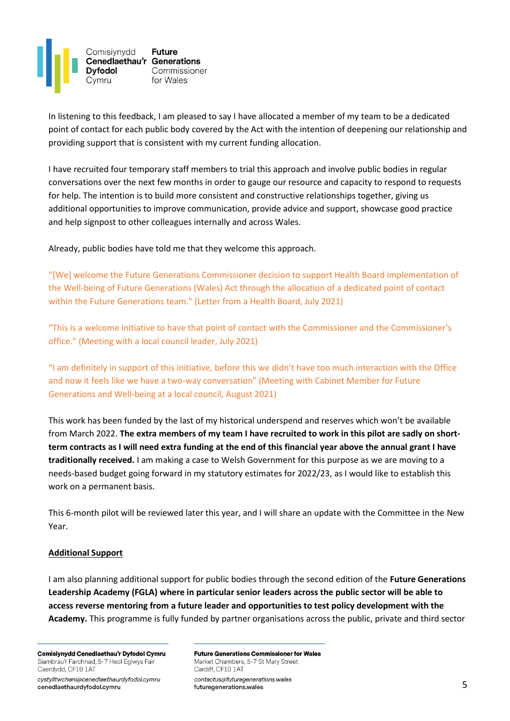

In listening to this feedback, I am pleased to say I have allocated a member of my team to be a dedicated point of contact for each public body covered by the Act with the intention of deepening our relationship and providing support that is consistent with my current funding allocation.

I have recruited four temporary staff members to trial this approach and involve public bodies in regular conversations over the next few months in order to gauge our resource and capacity to respond to requests for help. The intention is to build more consistent and constructive relationships together, giving us additional opportunities to improve communication, provide advice and support, showcase good practice and help signpost to other colleagues internally and across Wales.

Already, public bodies have told me that they welcome this approach.

"[We] welcome the Future Generations Commissioner decision to support Health Board implementation of the Well-being of Future Generations (Wales) Act through the allocation of a dedicated point of contact within the Future Generations team." (Letter from a Health Board, July 2021)

"This is a welcome initiative to have that point of contact with the Commissioner and the Commissioner's office." (Meeting with a local council leader, July 2021)

"I am definitely in support of this initiative, before this we didn't have too much interaction with the Office and now it feels like we have a two-way conversation" (Meeting with Cabinet Member for Future Generations and Well-being at a local council, August 2021)

This work has been funded by the last of my historical underspend and reserves which won't be available from March 2022. **The extra members of my team I have recruited to work in this pilot are sadly on shortterm contracts as I will need extra funding at the end of this financial year above the annual grant I have traditionally received.** I am making a case to Welsh Government for this purpose as we are moving to a needs-based budget going forward in my statutory estimates for 2022/23, as I would like to establish this work on a permanent basis.

This 6-month pilot will be reviewed later this year, and I will share an update with the Committee in the New Year.

## **Additional Support**

I am also planning additional support for public bodies through the second edition of the **Future Generations Leadership Academy (FGLA) where in particular senior leaders across the public sector will be able to access reverse mentoring from a future leader and opportunities to test policy development with the Academy.** This programme is fully funded by partner organisations across the public, private and third sector

Comisiynydd Cenedlaethau'r Dyfodol Cymru Siambrau'r Farchnad, 5-7 Heol Eglwys Fair Caerdydd, CF10 1AT

cystylltwchani@cenedlaethaurdyfodol.cymru cenedlaethaurdyfodol.cymru

**Future Generations Commissioner for Wales** Market Chambers, 5-7 St Mary Street Cardiff, CF10 1AT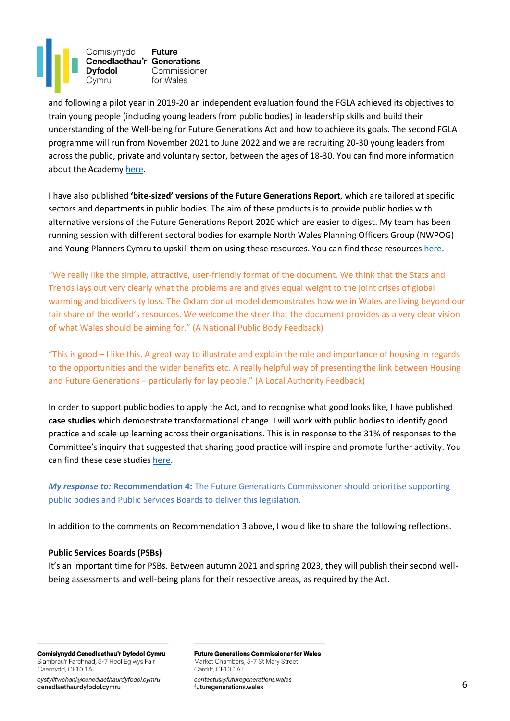

and following a pilot year in 2019-20 an independent evaluation found the FGLA achieved its objectives to train young people (including young leaders from public bodies) in leadership skills and build their understanding of the Well-being for Future Generations Act and how to achieve its goals. The second FGLA programme will run from November 2021 to June 2022 and we are recruiting 20-30 young leaders from across the public, private and voluntary sector, between the ages of 18-30. You can find more information about the Academ[y here.](https://www.futuregenerations.wales/leadership-academy/)

I have also published **'bite-sized' versions of the Future Generations Report**, which are tailored at specific sectors and departments in public bodies. The aim of these products is to provide public bodies with alternative versions of the Future Generations Report 2020 which are easier to digest. My team has been running session with different sectoral bodies for example North Wales Planning Officers Group (NWPOG) and Young Planners Cymru to upskill them on using these resources. You can find these resources [here.](https://www.futuregenerations.wales/resources_posts/future-generations-report-bitesize-products/)

"We really like the simple, attractive, user-friendly format of the document. We think that the Stats and Trends lays out very clearly what the problems are and gives equal weight to the joint crises of global warming and biodiversity loss. The Oxfam donut model demonstrates how we in Wales are living beyond our fair share of the world's resources. We welcome the steer that the document provides as a very clear vision of what Wales should be aiming for." (A National Public Body Feedback)

"This is good – I like this. A great way to illustrate and explain the role and importance of housing in regards to the opportunities and the wider benefits etc. A really helpful way of presenting the link between Housing and Future Generations – particularly for lay people." (A Local Authority Feedback)

In order to support public bodies to apply the Act, and to recognise what good looks like, I have published **case studies** which demonstrate transformational change. I will work with public bodies to identify good practice and scale up learning across their organisations. This is in response to the 31% of responses to the Committee's inquiry that suggested that sharing good practice will inspire and promote further activity. You can find these case studie[s here.](https://www.futuregenerations.wales/resources_posts/case-studies/)

*My response to:* **Recommendation 4:** The Future Generations Commissioner should prioritise supporting public bodies and Public Services Boards to deliver this legislation.

In addition to the comments on Recommendation 3 above, I would like to share the following reflections.

## **Public Services Boards (PSBs)**

It's an important time for PSBs. Between autumn 2021 and spring 2023, they will publish their second wellbeing assessments and well-being plans for their respective areas, as required by the Act.

Comisiynydd Cenedlaethau'r Dyfodol Cymru Siambrau'r Farchnad, 5-7 Heol Eglwys Fair Caerdydd, CF10 1AT

cystylltwchani@cenedlaethaurdyfodol.cymru cenedlaethaurdyfodol.cymru

**Future Generations Commissioner for Wales** Market Chambers, 5-7 St Mary Street Cardiff, CF10 1AT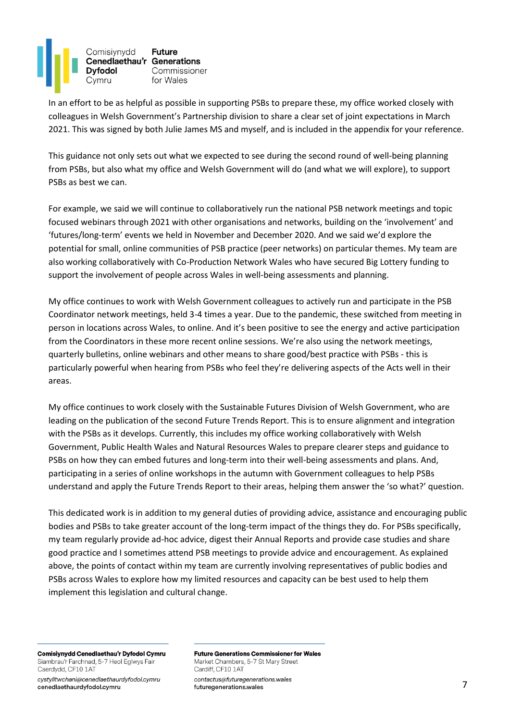

In an effort to be as helpful as possible in supporting PSBs to prepare these, my office worked closely with colleagues in Welsh Government's Partnership division to share a clear set of joint expectations in March 2021. This was signed by both Julie James MS and myself, and is included in the appendix for your reference.

This guidance not only sets out what we expected to see during the second round of well-being planning from PSBs, but also what my office and Welsh Government will do (and what we will explore), to support PSBs as best we can.

For example, we said we will continue to collaboratively run the national PSB network meetings and topic focused webinars through 2021 with other organisations and networks, building on the 'involvement' and 'futures/long-term' events we held in November and December 2020. And we said we'd explore the potential for small, online communities of PSB practice (peer networks) on particular themes. My team are also working collaboratively with Co-Production Network Wales who have secured Big Lottery funding to support the involvement of people across Wales in well-being assessments and planning.

My office continues to work with Welsh Government colleagues to actively run and participate in the PSB Coordinator network meetings, held 3-4 times a year. Due to the pandemic, these switched from meeting in person in locations across Wales, to online. And it's been positive to see the energy and active participation from the Coordinators in these more recent online sessions. We're also using the network meetings, quarterly bulletins, online webinars and other means to share good/best practice with PSBs - this is particularly powerful when hearing from PSBs who feel they're delivering aspects of the Acts well in their areas.

My office continues to work closely with the Sustainable Futures Division of Welsh Government, who are leading on the publication of the second Future Trends Report. This is to ensure alignment and integration with the PSBs as it develops. Currently, this includes my office working collaboratively with Welsh Government, Public Health Wales and Natural Resources Wales to prepare clearer steps and guidance to PSBs on how they can embed futures and long-term into their well-being assessments and plans. And, participating in a series of online workshops in the autumn with Government colleagues to help PSBs understand and apply the Future Trends Report to their areas, helping them answer the 'so what?' question.

This dedicated work is in addition to my general duties of providing advice, assistance and encouraging public bodies and PSBs to take greater account of the long-term impact of the things they do. For PSBs specifically, my team regularly provide ad-hoc advice, digest their Annual Reports and provide case studies and share good practice and I sometimes attend PSB meetings to provide advice and encouragement. As explained above, the points of contact within my team are currently involving representatives of public bodies and PSBs across Wales to explore how my limited resources and capacity can be best used to help them implement this legislation and cultural change.

Comisiynydd Cenedlaethau'r Dyfodol Cymru Siambrau'r Farchnad, 5-7 Heol Eglwys Fair Caerdydd, CF10 1AT

cystylltwchani@cenedlaethaurdyfodol.cymru cenedlaethaurdyfodol.cymru

**Future Generations Commissioner for Wales** Market Chambers, 5-7 St Mary Street Cardiff, CF10 1AT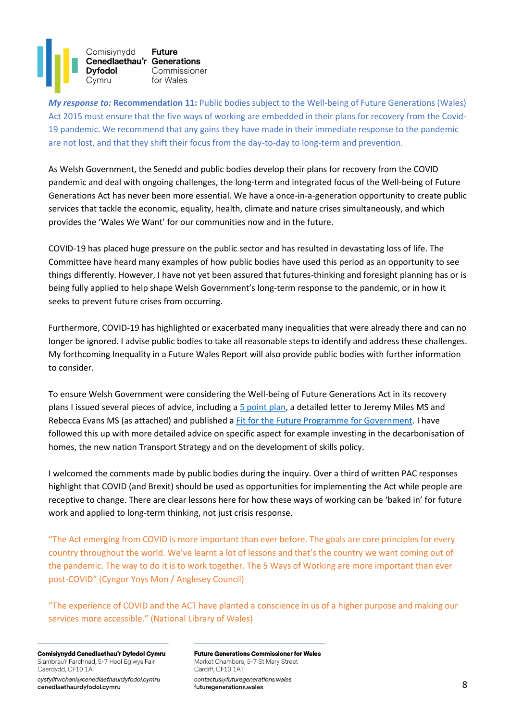Comisiynydd **Future** Cenedlaethau'r Generations **Dyfodol** Commissioner Cymru for Wales

*My response to:* **Recommendation 11:** Public bodies subject to the Well-being of Future Generations (Wales) Act 2015 must ensure that the five ways of working are embedded in their plans for recovery from the Covid-19 pandemic. We recommend that any gains they have made in their immediate response to the pandemic are not lost, and that they shift their focus from the day-to-day to long-term and prevention.

As Welsh Government, the Senedd and public bodies develop their plans for recovery from the COVID pandemic and deal with ongoing challenges, the long-term and integrated focus of the Well-being of Future Generations Act has never been more essential. We have a once-in-a-generation opportunity to create public services that tackle the economic, equality, health, climate and nature crises simultaneously, and which provides the 'Wales We Want' for our communities now and in the future.

COVID-19 has placed huge pressure on the public sector and has resulted in devastating loss of life. The Committee have heard many examples of how public bodies have used this period as an opportunity to see things differently. However, I have not yet been assured that futures-thinking and foresight planning has or is being fully applied to help shape Welsh Government's long-term response to the pandemic, or in how it seeks to prevent future crises from occurring.

Furthermore, COVID-19 has highlighted or exacerbated many inequalities that were already there and can no longer be ignored. I advise public bodies to take all reasonable steps to identify and address these challenges. My forthcoming Inequality in a Future Wales Report will also provide public bodies with further information to consider.

To ensure Welsh Government were considering the Well-being of Future Generations Act in its recovery plans I issued several pieces of advice, including a [5 point plan,](https://www.futuregenerations.wales/resources_posts/welsh-government-budget-must-signal-a-change-in-direction-to-reset-our-economy/) a detailed letter to Jeremy Miles MS and Rebecca Evans MS (as attached) and published [a Fit for the Future Programme for](https://www.futuregenerations.wales/work/ourfuturewales/) Government. I have followed this up with more detailed advice on specific aspect for example investing in the decarbonisation of homes, the new nation Transport Strategy and on the development of skills policy.

I welcomed the comments made by public bodies during the inquiry. Over a third of written PAC responses highlight that COVID (and Brexit) should be used as opportunities for implementing the Act while people are receptive to change. There are clear lessons here for how these ways of working can be 'baked in' for future work and applied to long-term thinking, not just crisis response.

"The Act emerging from COVID is more important than ever before. The goals are core principles for every country throughout the world. We've learnt a lot of lessons and that's the country we want coming out of the pandemic. The way to do it is to work together. The 5 Ways of Working are more important than ever post-COVID" (Cyngor Ynys Mon / Anglesey Council)

"The experience of COVID and the ACT have planted a conscience in us of a higher purpose and making our services more accessible." (National Library of Wales)

Comisiynydd Cenedlaethau'r Dyfodol Cymru Siambrau'r Farchnad, 5-7 Heol Eglwys Fair Caerdydd, CF10 1AT

cystylltwchani@cenedlaethaurdyfodol.cymru cenedlaethaurdyfodol.cymru

**Future Generations Commissioner for Wales** Market Chambers, 5-7 St Mary Street Cardiff, CF10 1AT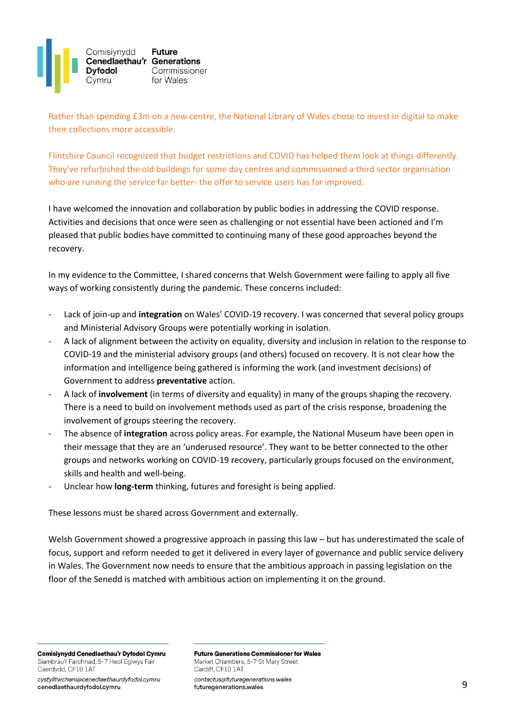

Rather than spending £3m on a new centre, the National Library of Wales chose to invest in digital to make their collections more accessible.

Flintshire Council recognized that budget restrictions and COVID has helped them look at things differently. They've refurbished the old buildings for some day centres and commissioned a third sector organisation who are running the service far better- the offer to service users has far improved.

I have welcomed the innovation and collaboration by public bodies in addressing the COVID response. Activities and decisions that once were seen as challenging or not essential have been actioned and I'm pleased that public bodies have committed to continuing many of these good approaches beyond the recovery.

In my evidence to the Committee, I shared concerns that Welsh Government were failing to apply all five ways of working consistently during the pandemic. These concerns included:

- Lack of join-up and **integration** on Wales' COVID-19 recovery. I was concerned that several policy groups and Ministerial Advisory Groups were potentially working in isolation.
- A lack of alignment between the activity on equality, diversity and inclusion in relation to the response to COVID-19 and the ministerial advisory groups (and others) focused on recovery. It is not clear how the information and intelligence being gathered is informing the work (and investment decisions) of Government to address **preventative** action.
- A lack of **involvement** (in terms of diversity and equality) in many of the groups shaping the recovery. There is a need to build on involvement methods used as part of the crisis response, broadening the involvement of groups steering the recovery.
- The absence of **integration** across policy areas. For example, the National Museum have been open in their message that they are an 'underused resource'. They want to be better connected to the other groups and networks working on COVID-19 recovery, particularly groups focused on the environment, skills and health and well-being.
- Unclear how **long-term** thinking, futures and foresight is being applied.

These lessons must be shared across Government and externally.

Welsh Government showed a progressive approach in passing this law – but has underestimated the scale of focus, support and reform needed to get it delivered in every layer of governance and public service delivery in Wales. The Government now needs to ensure that the ambitious approach in passing legislation on the floor of the Senedd is matched with ambitious action on implementing it on the ground.

Comisiynydd Cenedlaethau'r Dyfodol Cymru Siambrau'r Farchnad, 5-7 Heol Eglwys Fair Caerdydd, CF10 1AT

cystylltwchani@cenedlaethaurdyfodol.cymru cenedlaethaurdyfodol.cymru

**Future Generations Commissioner for Wales** Market Chambers, 5-7 St Mary Street Cardiff, CF10 1AT